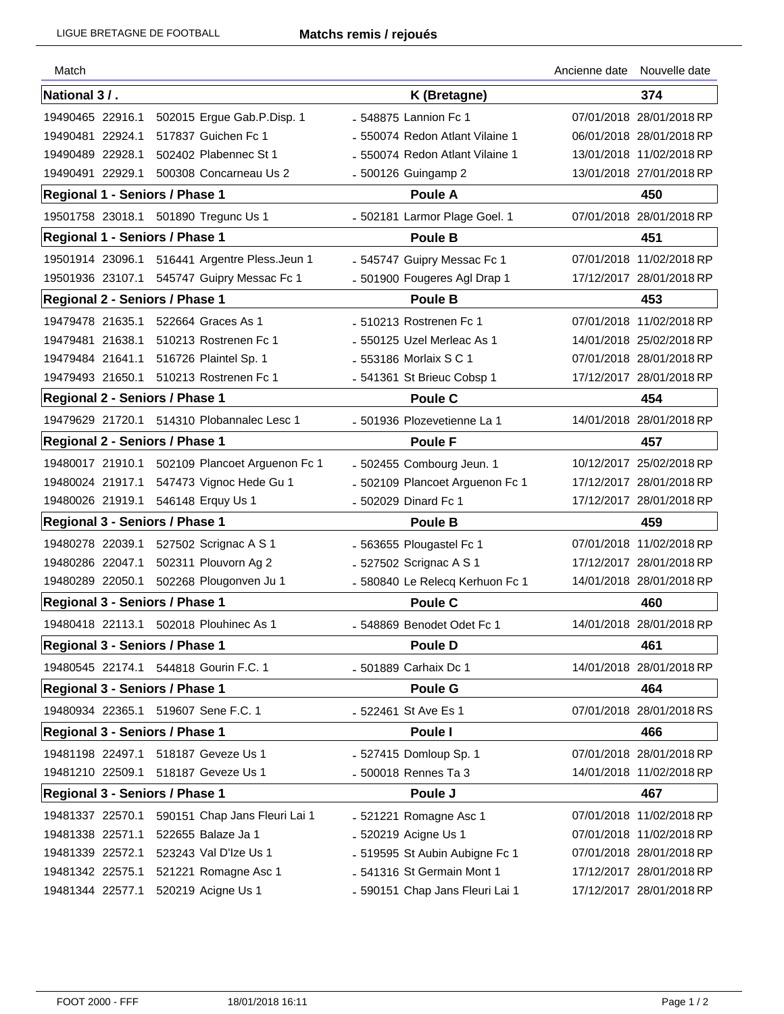| Match                          |                                       |                                 | Ancienne date | Nouvelle date            |
|--------------------------------|---------------------------------------|---------------------------------|---------------|--------------------------|
| National 3 / .                 |                                       | K (Bretagne)                    |               | 374                      |
| 19490465 22916.1               | 502015 Ergue Gab.P.Disp. 1            | - 548875 Lannion Fc 1           |               | 07/01/2018 28/01/2018 RP |
| 19490481 22924.1               | 517837 Guichen Fc 1                   | - 550074 Redon Atlant Vilaine 1 |               | 06/01/2018 28/01/2018 RP |
| 19490489 22928.1               | 502402 Plabennec St 1                 | - 550074 Redon Atlant Vilaine 1 |               | 13/01/2018 11/02/2018 RP |
| 19490491 22929.1               | 500308 Concarneau Us 2                | - 500126 Guingamp 2             |               | 13/01/2018 27/01/2018 RP |
| Regional 1 - Seniors / Phase 1 |                                       | <b>Poule A</b>                  |               | 450                      |
|                                | 19501758 23018.1 501890 Tregunc Us 1  | - 502181 Larmor Plage Goel. 1   |               | 07/01/2018 28/01/2018 RP |
| Regional 1 - Seniors / Phase 1 |                                       | <b>Poule B</b>                  |               | 451                      |
| 19501914 23096.1               | 516441 Argentre Pless.Jeun 1          | - 545747 Guipry Messac Fc 1     |               | 07/01/2018 11/02/2018 RP |
| 19501936 23107.1               | 545747 Guipry Messac Fc 1             | - 501900 Fougeres Agl Drap 1    |               | 17/12/2017 28/01/2018 RP |
| Regional 2 - Seniors / Phase 1 |                                       | Poule B                         |               | 453                      |
| 19479478 21635.1               | 522664 Graces As 1                    | - 510213 Rostrenen Fc 1         |               | 07/01/2018 11/02/2018 RP |
| 19479481 21638.1               | 510213 Rostrenen Fc 1                 | - 550125 Uzel Merleac As 1      |               | 14/01/2018 25/02/2018 RP |
| 19479484 21641.1               | 516726 Plaintel Sp. 1                 | - 553186 Morlaix S C 1          |               | 07/01/2018 28/01/2018 RP |
| 19479493 21650.1               | 510213 Rostrenen Fc 1                 | - 541361 St Brieuc Cobsp 1      |               | 17/12/2017 28/01/2018 RP |
| Regional 2 - Seniors / Phase 1 |                                       | Poule C                         |               | 454                      |
| 19479629 21720.1               | 514310 Plobannalec Lesc 1             | - 501936 Plozevetienne La 1     |               | 14/01/2018 28/01/2018 RP |
| Regional 2 - Seniors / Phase 1 |                                       | Poule F                         |               | 457                      |
| 19480017 21910.1               | 502109 Plancoet Arguenon Fc 1         | - 502455 Combourg Jeun. 1       |               | 10/12/2017 25/02/2018 RP |
| 19480024 21917.1               | 547473 Vignoc Hede Gu 1               | - 502109 Plancoet Arguenon Fc 1 |               | 17/12/2017 28/01/2018 RP |
| 19480026 21919.1               | 546148 Erquy Us 1                     | - 502029 Dinard Fc 1            |               | 17/12/2017 28/01/2018 RP |
| Regional 3 - Seniors / Phase 1 |                                       | <b>Poule B</b>                  |               | 459                      |
| 19480278 22039.1               | 527502 Scrignac A S 1                 | - 563655 Plougastel Fc 1        |               | 07/01/2018 11/02/2018 RP |
| 19480286 22047.1               | 502311 Plouvorn Ag 2                  | - 527502 Scrignac A S 1         |               | 17/12/2017 28/01/2018 RP |
| 19480289 22050.1               | 502268 Plougonven Ju 1                | - 580840 Le Relecq Kerhuon Fc 1 |               | 14/01/2018 28/01/2018 RP |
| Regional 3 - Seniors / Phase 1 |                                       | Poule C                         |               | 460                      |
| 19480418 22113.1               | 502018 Plouhinec As 1                 | - 548869 Benodet Odet Fc 1      |               | 14/01/2018 28/01/2018 RP |
| Regional 3 - Seniors / Phase 1 |                                       | Poule D                         |               | 461                      |
|                                | 19480545 22174.1 544818 Gourin F.C. 1 | - 501889 Carhaix Dc 1           |               | 14/01/2018 28/01/2018 RP |
| Regional 3 - Seniors / Phase 1 |                                       | <b>Poule G</b>                  |               | 464                      |
|                                | 19480934 22365.1 519607 Sene F.C. 1   | - 522461 St Ave Es 1            |               | 07/01/2018 28/01/2018 RS |
| Regional 3 - Seniors / Phase 1 |                                       | Poule I                         |               | 466                      |
|                                | 19481198 22497.1 518187 Geveze Us 1   | - 527415 Domloup Sp. 1          |               | 07/01/2018 28/01/2018 RP |
|                                | 19481210 22509.1 518187 Geveze Us 1   | - 500018 Rennes Ta 3            |               | 14/01/2018 11/02/2018 RP |
| Regional 3 - Seniors / Phase 1 |                                       | Poule J                         |               | 467                      |
| 19481337 22570.1               | 590151 Chap Jans Fleuri Lai 1         | - 521221 Romagne Asc 1          |               | 07/01/2018 11/02/2018 RP |
| 19481338 22571.1               | 522655 Balaze Ja 1                    | - 520219 Acigne Us 1            |               | 07/01/2018 11/02/2018 RP |
| 19481339 22572.1               | 523243 Val D'Ize Us 1                 | - 519595 St Aubin Aubigne Fc 1  |               | 07/01/2018 28/01/2018 RP |
| 19481342 22575.1               | 521221 Romagne Asc 1                  | - 541316 St Germain Mont 1      |               | 17/12/2017 28/01/2018 RP |
| 19481344 22577.1               | 520219 Acigne Us 1                    | - 590151 Chap Jans Fleuri Lai 1 |               | 17/12/2017 28/01/2018 RP |